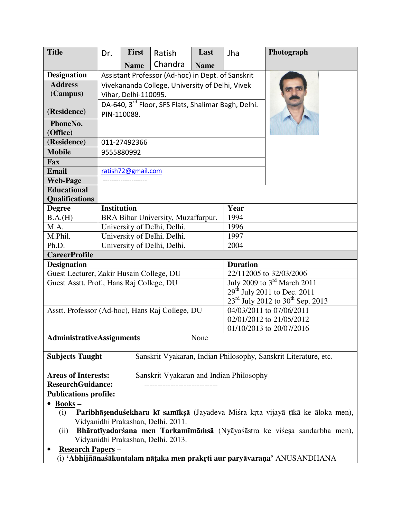| <b>Title</b>                                                                                        | Dr.                                                                            | First                | Ratish                                            | Last        | Jha                                                                      | Photograph               |  |
|-----------------------------------------------------------------------------------------------------|--------------------------------------------------------------------------------|----------------------|---------------------------------------------------|-------------|--------------------------------------------------------------------------|--------------------------|--|
|                                                                                                     |                                                                                | <b>Name</b>          | Chandra                                           | <b>Name</b> |                                                                          |                          |  |
| <b>Designation</b>                                                                                  |                                                                                |                      | Assistant Professor (Ad-hoc) in Dept. of Sanskrit |             |                                                                          |                          |  |
| <b>Address</b>                                                                                      |                                                                                |                      | Vivekananda College, University of Delhi, Vivek   |             |                                                                          |                          |  |
| (Campus)                                                                                            |                                                                                | Vihar, Delhi-110095. |                                                   |             |                                                                          |                          |  |
|                                                                                                     |                                                                                |                      |                                                   |             |                                                                          |                          |  |
| (Residence)                                                                                         | DA-640, 3 <sup>rd</sup> Floor, SFS Flats, Shalimar Bagh, Delhi.<br>PIN-110088. |                      |                                                   |             |                                                                          |                          |  |
| PhoneNo.                                                                                            |                                                                                |                      |                                                   |             |                                                                          |                          |  |
| (Office)                                                                                            |                                                                                |                      |                                                   |             |                                                                          |                          |  |
| (Residence)                                                                                         | 011-27492366                                                                   |                      |                                                   |             |                                                                          |                          |  |
| <b>Mobile</b>                                                                                       | 9555880992                                                                     |                      |                                                   |             |                                                                          |                          |  |
| Fax                                                                                                 |                                                                                |                      |                                                   |             |                                                                          |                          |  |
| <b>Email</b>                                                                                        |                                                                                | ratish72@gmail.com   |                                                   |             |                                                                          |                          |  |
| <b>Web-Page</b>                                                                                     |                                                                                |                      |                                                   |             |                                                                          |                          |  |
| <b>Educational</b>                                                                                  |                                                                                |                      |                                                   |             |                                                                          |                          |  |
| <b>Qualifications</b>                                                                               |                                                                                |                      |                                                   |             |                                                                          |                          |  |
| <b>Degree</b>                                                                                       | <b>Institution</b>                                                             |                      |                                                   |             | Year                                                                     |                          |  |
| B.A.(H)                                                                                             | BRA Bihar University, Muzaffarpur.                                             |                      |                                                   |             | 1994                                                                     |                          |  |
| M.A.                                                                                                | University of Delhi, Delhi.                                                    |                      |                                                   |             | 1996                                                                     |                          |  |
| M.Phil.                                                                                             | University of Delhi, Delhi.                                                    |                      |                                                   |             | 1997                                                                     |                          |  |
| Ph.D.                                                                                               |                                                                                |                      | University of Delhi, Delhi.                       |             | 2004                                                                     |                          |  |
| <b>CareerProfile</b>                                                                                |                                                                                |                      |                                                   |             |                                                                          |                          |  |
| <b>Designation</b>                                                                                  |                                                                                |                      |                                                   |             | <b>Duration</b>                                                          |                          |  |
| Guest Lecturer, Zakir Husain College, DU                                                            |                                                                                |                      |                                                   |             | 22/112005 to 32/03/2006                                                  |                          |  |
| Guest Asstt. Prof., Hans Raj College, DU                                                            |                                                                                |                      |                                                   |             | July 2009 to 3 <sup>rd</sup> March 2011<br>$29th$ July 2011 to Dec. 2011 |                          |  |
|                                                                                                     |                                                                                |                      |                                                   |             | $23^{\text{rd}}$ July 2012 to 30 <sup>th</sup> Sep. 2013                 |                          |  |
| Asstt. Professor (Ad-hoc), Hans Raj College, DU                                                     |                                                                                |                      |                                                   |             |                                                                          | 04/03/2011 to 07/06/2011 |  |
|                                                                                                     |                                                                                |                      |                                                   |             |                                                                          | 02/01/2012 to 21/05/2012 |  |
|                                                                                                     |                                                                                |                      |                                                   |             |                                                                          | 01/10/2013 to 20/07/2016 |  |
| <b>AdministrativeAssignments</b><br>None                                                            |                                                                                |                      |                                                   |             |                                                                          |                          |  |
|                                                                                                     |                                                                                |                      |                                                   |             |                                                                          |                          |  |
| Sanskrit Vyakaran, Indian Philosophy, Sanskrit Literature, etc.<br><b>Subjects Taught</b>           |                                                                                |                      |                                                   |             |                                                                          |                          |  |
| <b>Areas of Interests:</b><br>Sanskrit Vyakaran and Indian Philosophy                               |                                                                                |                      |                                                   |             |                                                                          |                          |  |
| <b>ResearchGuidance:</b>                                                                            |                                                                                |                      |                                                   |             |                                                                          |                          |  |
| <b>Publications profile:</b>                                                                        |                                                                                |                      |                                                   |             |                                                                          |                          |  |
| $\frac{\text{Books}}{\text{}}$ –                                                                    |                                                                                |                      |                                                   |             |                                                                          |                          |  |
| Paribhāșenduśekhara kī samīksā (Jayadeva Miśra krta vijayā tīkā ke āloka men),<br>(i)               |                                                                                |                      |                                                   |             |                                                                          |                          |  |
| Vidyanidhi Prakashan, Delhi. 2011.                                                                  |                                                                                |                      |                                                   |             |                                                                          |                          |  |
| Bhāratīyadarśana men Tarkamīmāmsā (Nyāyaśāstra ke viśesa sandarbha men),<br>(ii)                    |                                                                                |                      |                                                   |             |                                                                          |                          |  |
| Vidyanidhi Prakashan, Delhi. 2013.                                                                  |                                                                                |                      |                                                   |             |                                                                          |                          |  |
| <b>Research Papers-</b><br>(i) 'Abhijñānaśākuntalam nāṭaka men prakṛti aur paryāvaraṇa' ANUSANDHANA |                                                                                |                      |                                                   |             |                                                                          |                          |  |